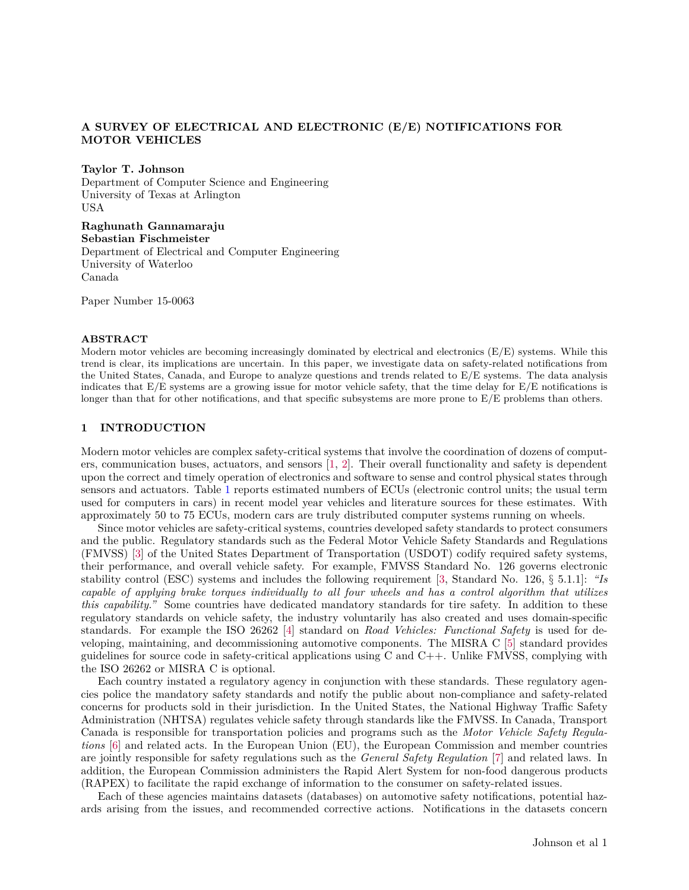## **A SURVEY OF ELECTRICAL AND ELECTRONIC (E/E) NOTIFICATIONS FOR MOTOR VEHICLES**

**Taylor T. Johnson**

Department of Computer Science and Engineering University of Texas at Arlington USA

**Raghunath Gannamaraju Sebastian Fischmeister** Department of Electrical and Computer Engineering University of Waterloo Canada

Paper Number 15-0063

### **ABSTRACT**

Modern motor vehicles are becoming increasingly dominated by electrical and electronics (E/E) systems. While this trend is clear, its implications are uncertain. In this paper, we investigate data on safety-related notifications from the United States, Canada, and Europe to analyze questions and trends related to E/E systems. The data analysis indicates that E/E systems are a growing issue for motor vehicle safety, that the time delay for E/E notifications is longer than that for other notifications, and that specific subsystems are more prone to  $E/E$  problems than others.

#### <span id="page-0-0"></span>**1 INTRODUCTION**

Modern motor vehicles are complex safety-critical systems that involve the coordination of dozens of computers, communication buses, actuators, and sensors [\[1,](#page-13-0) [2\]](#page-13-1). Their overall functionality and safety is dependent upon the correct and timely operation of electronics and software to sense and control physical states through sensors and actuators. Table [1](#page-1-0) reports estimated numbers of ECUs (electronic control units; the usual term used for computers in cars) in recent model year vehicles and literature sources for these estimates. With approximately 50 to 75 ECUs, modern cars are truly distributed computer systems running on wheels.

Since motor vehicles are safety-critical systems, countries developed safety standards to protect consumers and the public. Regulatory standards such as the Federal Motor Vehicle Safety Standards and Regulations (FMVSS) [\[3\]](#page-13-2) of the United States Department of Transportation (USDOT) codify required safety systems, their performance, and overall vehicle safety. For example, FMVSS Standard No. 126 governs electronic stability control (ESC) systems and includes the following requirement [\[3,](#page-13-2) Standard No. 126, § 5.1.1]: *"Is capable of applying brake torques individually to all four wheels and has a control algorithm that utilizes this capability."* Some countries have dedicated mandatory standards for tire safety. In addition to these regulatory standards on vehicle safety, the industry voluntarily has also created and uses domain-specific standards. For example the ISO 26262 [\[4\]](#page-13-3) standard on *Road Vehicles: Functional Safety* is used for developing, maintaining, and decommissioning automotive components. The MISRA C [\[5\]](#page-13-4) standard provides guidelines for source code in safety-critical applications using C and  $C_{++}$ . Unlike FMVSS, complying with the ISO 26262 or MISRA C is optional.

Each country instated a regulatory agency in conjunction with these standards. These regulatory agencies police the mandatory safety standards and notify the public about non-compliance and safety-related concerns for products sold in their jurisdiction. In the United States, the National Highway Traffic Safety Administration (NHTSA) regulates vehicle safety through standards like the FMVSS. In Canada, Transport Canada is responsible for transportation policies and programs such as the *Motor Vehicle Safety Regulations* [\[6\]](#page-13-5) and related acts. In the European Union (EU), the European Commission and member countries are jointly responsible for safety regulations such as the *General Safety Regulation* [\[7\]](#page-13-6) and related laws. In addition, the European Commission administers the Rapid Alert System for non-food dangerous products (RAPEX) to facilitate the rapid exchange of information to the consumer on safety-related issues.

Each of these agencies maintains datasets (databases) on automotive safety notifications, potential hazards arising from the issues, and recommended corrective actions. Notifications in the datasets concern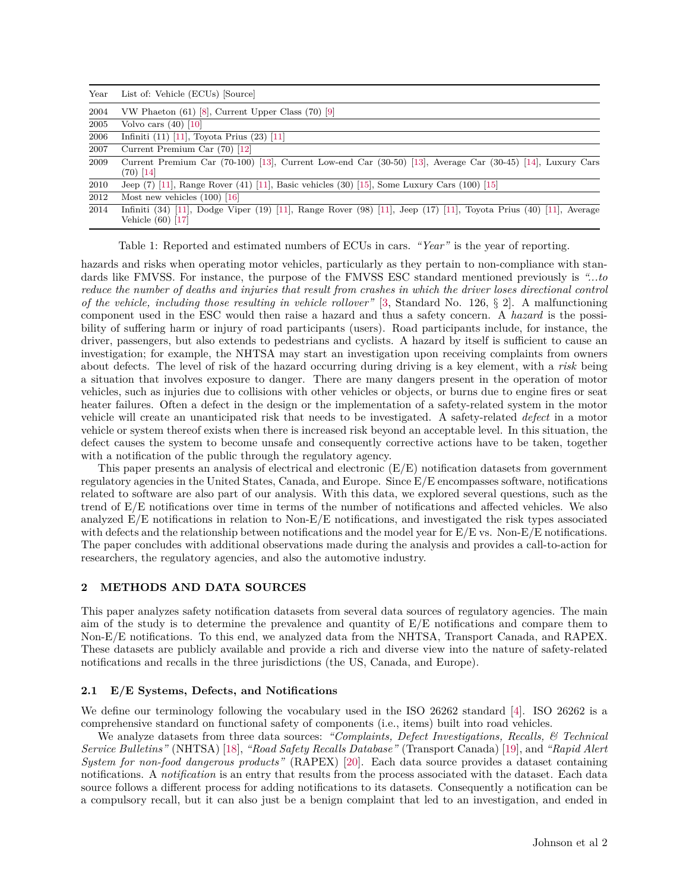<span id="page-1-0"></span>

| Year | List of: Vehicle (ECUs) [Source]                                                                                                       |  |  |  |  |  |  |
|------|----------------------------------------------------------------------------------------------------------------------------------------|--|--|--|--|--|--|
| 2004 | VW Phaeton $(61)$ [8], Current Upper Class $(70)$ [9]                                                                                  |  |  |  |  |  |  |
| 2005 | Volvo cars $(40)$ [10]                                                                                                                 |  |  |  |  |  |  |
| 2006 | Infiniti $(11)$ [11], Toyota Prius $(23)$ [11]                                                                                         |  |  |  |  |  |  |
| 2007 | Current Premium Car $(70)$ [12]                                                                                                        |  |  |  |  |  |  |
| 2009 | Current Premium Car (70-100) [13], Current Low-end Car (30-50) [13], Average Car (30-45) [14], Luxury Cars<br>(70) [14]                |  |  |  |  |  |  |
| 2010 | Jeep $(7)$ [11], Range Rover $(41)$ [11], Basic vehicles $(30)$ [15], Some Luxury Cars $(100)$ [15]                                    |  |  |  |  |  |  |
| 2012 | Most new vehicles $(100)$ [16]                                                                                                         |  |  |  |  |  |  |
| 2014 | Infiniti (34) [11], Dodge Viper (19) [11], Range Rover (98) [11], Jeep (17) [11], Toyota Prius (40) [11], Average<br>Vehicle (60) [17] |  |  |  |  |  |  |

Table 1: Reported and estimated numbers of ECUs in cars. *"Year"* is the year of reporting.

hazards and risks when operating motor vehicles, particularly as they pertain to non-compliance with standards like FMVSS. For instance, the purpose of the FMVSS ESC standard mentioned previously is *"...to reduce the number of deaths and injuries that result from crashes in which the driver loses directional control of the vehicle, including those resulting in vehicle rollover"* [\[3,](#page-13-2) Standard No. 126, § 2]. A malfunctioning component used in the ESC would then raise a hazard and thus a safety concern. A *hazard* is the possibility of suffering harm or injury of road participants (users). Road participants include, for instance, the driver, passengers, but also extends to pedestrians and cyclists. A hazard by itself is sufficient to cause an investigation; for example, the NHTSA may start an investigation upon receiving complaints from owners about defects. The level of risk of the hazard occurring during driving is a key element, with a *risk* being a situation that involves exposure to danger. There are many dangers present in the operation of motor vehicles, such as injuries due to collisions with other vehicles or objects, or burns due to engine fires or seat heater failures. Often a defect in the design or the implementation of a safety-related system in the motor vehicle will create an unanticipated risk that needs to be investigated. A safety-related *defect* in a motor vehicle or system thereof exists when there is increased risk beyond an acceptable level. In this situation, the defect causes the system to become unsafe and consequently corrective actions have to be taken, together with a notification of the public through the regulatory agency.

This paper presents an analysis of electrical and electronic (E/E) notification datasets from government regulatory agencies in the United States, Canada, and Europe. Since E/E encompasses software, notifications related to software are also part of our analysis. With this data, we explored several questions, such as the trend of E/E notifications over time in terms of the number of notifications and affected vehicles. We also analyzed E/E notifications in relation to Non-E/E notifications, and investigated the risk types associated with defects and the relationship between notifications and the model year for  $E/E$  vs. Non-E/E notifications. The paper concludes with additional observations made during the analysis and provides a call-to-action for researchers, the regulatory agencies, and also the automotive industry.

## <span id="page-1-1"></span>**2 METHODS AND DATA SOURCES**

This paper analyzes safety notification datasets from several data sources of regulatory agencies. The main aim of the study is to determine the prevalence and quantity of E/E notifications and compare them to Non-E/E notifications. To this end, we analyzed data from the NHTSA, Transport Canada, and RAPEX. These datasets are publicly available and provide a rich and diverse view into the nature of safety-related notifications and recalls in the three jurisdictions (the US, Canada, and Europe).

### **2.1 E/E Systems, Defects, and Notifications**

We define our terminology following the vocabulary used in the ISO 26262 standard [\[4\]](#page-13-3). ISO 26262 is a comprehensive standard on functional safety of components (i.e., items) built into road vehicles.

We analyze datasets from three data sources: *"Complaints, Defect Investigations, Recalls, & Technical Service Bulletins"* (NHTSA) [\[18\]](#page-13-17), *"Road Safety Recalls Database"* (Transport Canada) [\[19\]](#page-13-18), and *"Rapid Alert System for non-food dangerous products"* (RAPEX) [\[20\]](#page-13-19). Each data source provides a dataset containing notifications. A *notification* is an entry that results from the process associated with the dataset. Each data source follows a different process for adding notifications to its datasets. Consequently a notification can be a compulsory recall, but it can also just be a benign complaint that led to an investigation, and ended in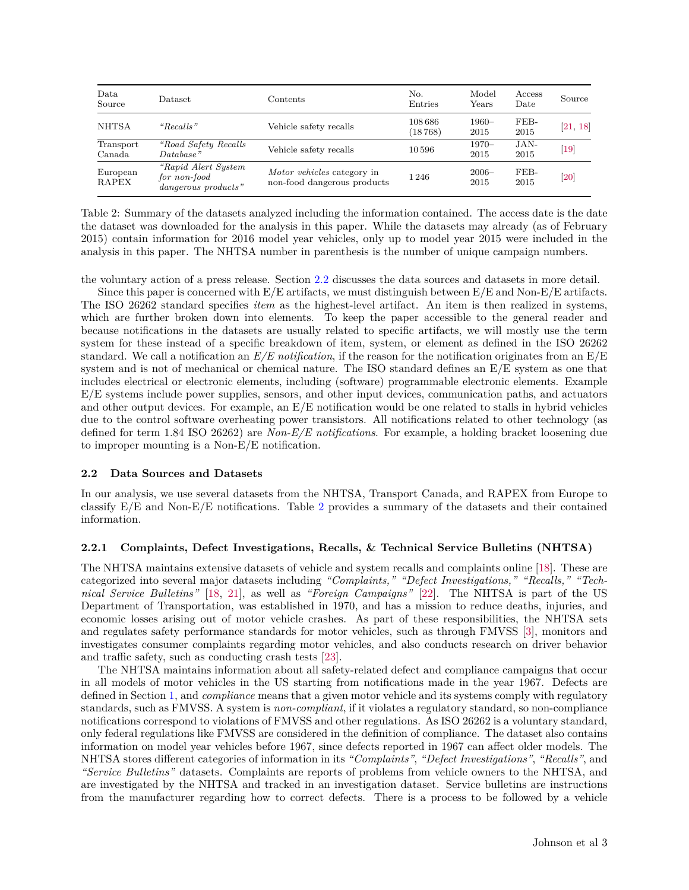<span id="page-2-1"></span>

| Data<br>Source           | $\mathrm{D} \mathrm{at } \mathrm{as } \mathrm{et }$                 | Contents                                                  | No.<br>Entries     | Model<br>Years   | Access<br>Date | Source           |
|--------------------------|---------------------------------------------------------------------|-----------------------------------------------------------|--------------------|------------------|----------------|------------------|
| <b>NHTSA</b>             | "Recalls"                                                           | Vehicle safety recalls                                    | 108 686<br>(18768) | $1960 -$<br>2015 | FEB-<br>2015   | [21, 18]         |
| Transport<br>Canada      | "Road Safety Recalls"<br>$Database$ "                               | Vehicle safety recalls                                    | 10596              | $1970-$<br>2015  | $JAN-$<br>2015 | $\vert 19 \vert$ |
| European<br><b>RAPEX</b> | <i>"Rapid Alert System</i> "<br>for non-food<br>dangerous products" | Motor vehicles category in<br>non-food dangerous products | 1 2 4 6            | $2006 -$<br>2015 | FEB-<br>2015   | <b>20</b>        |

Table 2: Summary of the datasets analyzed including the information contained. The access date is the date the dataset was downloaded for the analysis in this paper. While the datasets may already (as of February 2015) contain information for 2016 model year vehicles, only up to model year 2015 were included in the analysis in this paper. The NHTSA number in parenthesis is the number of unique campaign numbers.

the voluntary action of a press release. Section [2.2](#page-2-0) discusses the data sources and datasets in more detail.

Since this paper is concerned with  $E/E$  artifacts, we must distinguish between  $E/E$  and Non- $E/E$  artifacts. The ISO 26262 standard specifies *item* as the highest-level artifact. An item is then realized in systems, which are further broken down into elements. To keep the paper accessible to the general reader and because notifications in the datasets are usually related to specific artifacts, we will mostly use the term system for these instead of a specific breakdown of item, system, or element as defined in the ISO 26262 standard. We call a notification an *E/E notification*, if the reason for the notification originates from an E/E system and is not of mechanical or chemical nature. The ISO standard defines an E/E system as one that includes electrical or electronic elements, including (software) programmable electronic elements. Example E/E systems include power supplies, sensors, and other input devices, communication paths, and actuators and other output devices. For example, an E/E notification would be one related to stalls in hybrid vehicles due to the control software overheating power transistors. All notifications related to other technology (as defined for term 1.84 ISO 26262) are *Non-E/E notifications*. For example, a holding bracket loosening due to improper mounting is a Non-E/E notification.

### <span id="page-2-0"></span>**2.2 Data Sources and Datasets**

In our analysis, we use several datasets from the NHTSA, Transport Canada, and RAPEX from Europe to classify E/E and Non-E/E notifications. Table [2](#page-2-1) provides a summary of the datasets and their contained information.

#### **2.2.1 Complaints, Defect Investigations, Recalls, & Technical Service Bulletins (NHTSA)**

The NHTSA maintains extensive datasets of vehicle and system recalls and complaints online [\[18\]](#page-13-17). These are categorized into several major datasets including *"Complaints," "Defect Investigations," "Recalls," "Technical Service Bulletins"* [\[18,](#page-13-17) [21\]](#page-13-20), as well as *"Foreign Campaigns"* [\[22\]](#page-13-21). The NHTSA is part of the US Department of Transportation, was established in 1970, and has a mission to reduce deaths, injuries, and economic losses arising out of motor vehicle crashes. As part of these responsibilities, the NHTSA sets and regulates safety performance standards for motor vehicles, such as through FMVSS [\[3\]](#page-13-2), monitors and investigates consumer complaints regarding motor vehicles, and also conducts research on driver behavior and traffic safety, such as conducting crash tests [\[23\]](#page-13-22).

The NHTSA maintains information about all safety-related defect and compliance campaigns that occur in all models of motor vehicles in the US starting from notifications made in the year 1967. Defects are defined in Section [1,](#page-0-0) and *compliance* means that a given motor vehicle and its systems comply with regulatory standards, such as FMVSS. A system is *non-compliant*, if it violates a regulatory standard, so non-compliance notifications correspond to violations of FMVSS and other regulations. As ISO 26262 is a voluntary standard, only federal regulations like FMVSS are considered in the definition of compliance. The dataset also contains information on model year vehicles before 1967, since defects reported in 1967 can affect older models. The NHTSA stores different categories of information in its *"Complaints"*, *"Defect Investigations"*, *"Recalls"*, and *"Service Bulletins"* datasets. Complaints are reports of problems from vehicle owners to the NHTSA, and are investigated by the NHTSA and tracked in an investigation dataset. Service bulletins are instructions from the manufacturer regarding how to correct defects. There is a process to be followed by a vehicle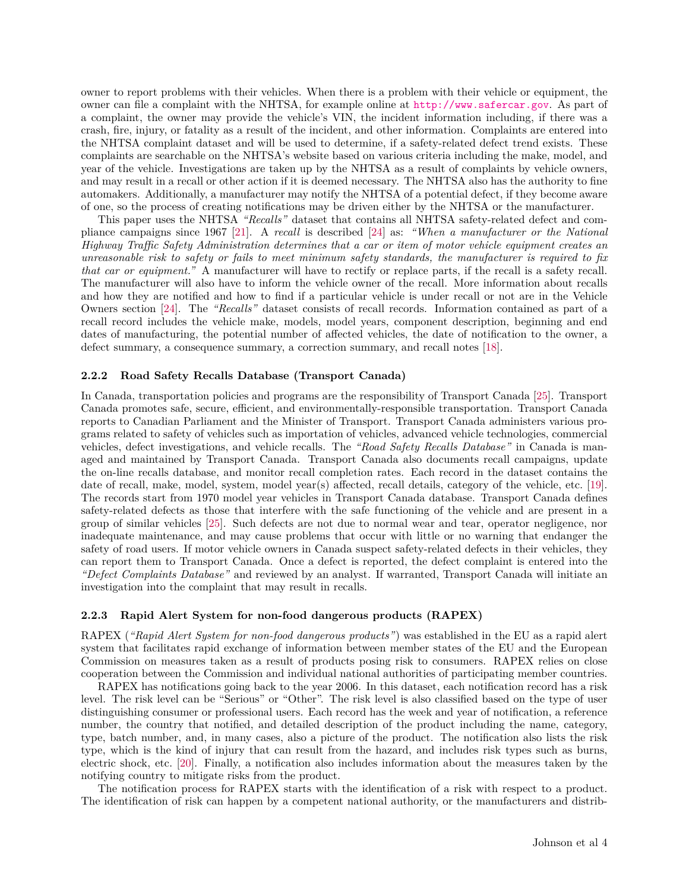owner to report problems with their vehicles. When there is a problem with their vehicle or equipment, the owner can file a complaint with the NHTSA, for example online at <http://www.safercar.gov>. As part of a complaint, the owner may provide the vehicle's VIN, the incident information including, if there was a crash, fire, injury, or fatality as a result of the incident, and other information. Complaints are entered into the NHTSA complaint dataset and will be used to determine, if a safety-related defect trend exists. These complaints are searchable on the NHTSA's website based on various criteria including the make, model, and year of the vehicle. Investigations are taken up by the NHTSA as a result of complaints by vehicle owners, and may result in a recall or other action if it is deemed necessary. The NHTSA also has the authority to fine automakers. Additionally, a manufacturer may notify the NHTSA of a potential defect, if they become aware of one, so the process of creating notifications may be driven either by the NHTSA or the manufacturer.

This paper uses the NHTSA *"Recalls"* dataset that contains all NHTSA safety-related defect and compliance campaigns since 1967 [\[21\]](#page-13-20). A *recall* is described [\[24\]](#page-13-23) as: *"When a manufacturer or the National Highway Traffic Safety Administration determines that a car or item of motor vehicle equipment creates an unreasonable risk to safety or fails to meet minimum safety standards, the manufacturer is required to fix that car or equipment."* A manufacturer will have to rectify or replace parts, if the recall is a safety recall. The manufacturer will also have to inform the vehicle owner of the recall. More information about recalls and how they are notified and how to find if a particular vehicle is under recall or not are in the Vehicle Owners section [\[24\]](#page-13-23). The *"Recalls"* dataset consists of recall records. Information contained as part of a recall record includes the vehicle make, models, model years, component description, beginning and end dates of manufacturing, the potential number of affected vehicles, the date of notification to the owner, a defect summary, a consequence summary, a correction summary, and recall notes [\[18\]](#page-13-17).

### **2.2.2 Road Safety Recalls Database (Transport Canada)**

In Canada, transportation policies and programs are the responsibility of Transport Canada [\[25\]](#page-13-24). Transport Canada promotes safe, secure, efficient, and environmentally-responsible transportation. Transport Canada reports to Canadian Parliament and the Minister of Transport. Transport Canada administers various programs related to safety of vehicles such as importation of vehicles, advanced vehicle technologies, commercial vehicles, defect investigations, and vehicle recalls. The *"Road Safety Recalls Database"* in Canada is managed and maintained by Transport Canada. Transport Canada also documents recall campaigns, update the on-line recalls database, and monitor recall completion rates. Each record in the dataset contains the date of recall, make, model, system, model year(s) affected, recall details, category of the vehicle, etc. [\[19\]](#page-13-18). The records start from 1970 model year vehicles in Transport Canada database. Transport Canada defines safety-related defects as those that interfere with the safe functioning of the vehicle and are present in a group of similar vehicles [\[25\]](#page-13-24). Such defects are not due to normal wear and tear, operator negligence, nor inadequate maintenance, and may cause problems that occur with little or no warning that endanger the safety of road users. If motor vehicle owners in Canada suspect safety-related defects in their vehicles, they can report them to Transport Canada. Once a defect is reported, the defect complaint is entered into the *"Defect Complaints Database"* and reviewed by an analyst. If warranted, Transport Canada will initiate an investigation into the complaint that may result in recalls.

## **2.2.3 Rapid Alert System for non-food dangerous products (RAPEX)**

RAPEX (*"Rapid Alert System for non-food dangerous products"*) was established in the EU as a rapid alert system that facilitates rapid exchange of information between member states of the EU and the European Commission on measures taken as a result of products posing risk to consumers. RAPEX relies on close cooperation between the Commission and individual national authorities of participating member countries.

RAPEX has notifications going back to the year 2006. In this dataset, each notification record has a risk level. The risk level can be "Serious" or "Other". The risk level is also classified based on the type of user distinguishing consumer or professional users. Each record has the week and year of notification, a reference number, the country that notified, and detailed description of the product including the name, category, type, batch number, and, in many cases, also a picture of the product. The notification also lists the risk type, which is the kind of injury that can result from the hazard, and includes risk types such as burns, electric shock, etc. [\[20\]](#page-13-19). Finally, a notification also includes information about the measures taken by the notifying country to mitigate risks from the product.

The notification process for RAPEX starts with the identification of a risk with respect to a product. The identification of risk can happen by a competent national authority, or the manufacturers and distrib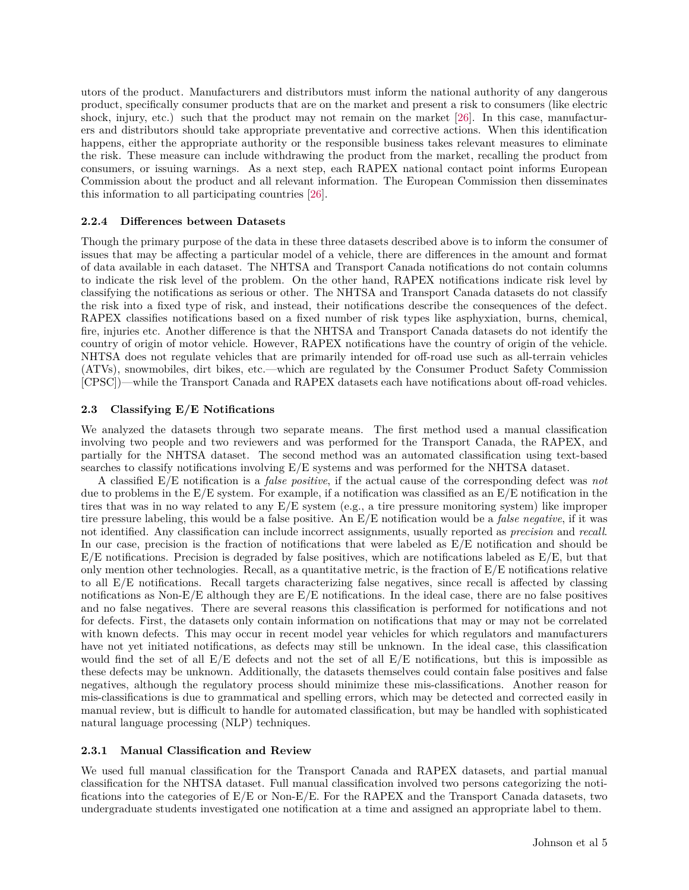utors of the product. Manufacturers and distributors must inform the national authority of any dangerous product, specifically consumer products that are on the market and present a risk to consumers (like electric shock, injury, etc.) such that the product may not remain on the market [\[26\]](#page-13-25). In this case, manufacturers and distributors should take appropriate preventative and corrective actions. When this identification happens, either the appropriate authority or the responsible business takes relevant measures to eliminate the risk. These measure can include withdrawing the product from the market, recalling the product from consumers, or issuing warnings. As a next step, each RAPEX national contact point informs European Commission about the product and all relevant information. The European Commission then disseminates this information to all participating countries [\[26\]](#page-13-25).

## **2.2.4 Differences between Datasets**

Though the primary purpose of the data in these three datasets described above is to inform the consumer of issues that may be affecting a particular model of a vehicle, there are differences in the amount and format of data available in each dataset. The NHTSA and Transport Canada notifications do not contain columns to indicate the risk level of the problem. On the other hand, RAPEX notifications indicate risk level by classifying the notifications as serious or other. The NHTSA and Transport Canada datasets do not classify the risk into a fixed type of risk, and instead, their notifications describe the consequences of the defect. RAPEX classifies notifications based on a fixed number of risk types like asphyxiation, burns, chemical, fire, injuries etc. Another difference is that the NHTSA and Transport Canada datasets do not identify the country of origin of motor vehicle. However, RAPEX notifications have the country of origin of the vehicle. NHTSA does not regulate vehicles that are primarily intended for off-road use such as all-terrain vehicles (ATVs), snowmobiles, dirt bikes, etc.—which are regulated by the Consumer Product Safety Commission [CPSC])—while the Transport Canada and RAPEX datasets each have notifications about off-road vehicles.

### **2.3 Classifying E/E Notifications**

We analyzed the datasets through two separate means. The first method used a manual classification involving two people and two reviewers and was performed for the Transport Canada, the RAPEX, and partially for the NHTSA dataset. The second method was an automated classification using text-based searches to classify notifications involving E/E systems and was performed for the NHTSA dataset.

A classified E/E notification is a *false positive*, if the actual cause of the corresponding defect was *not* due to problems in the  $E/E$  system. For example, if a notification was classified as an  $E/E$  notification in the tires that was in no way related to any E/E system (e.g., a tire pressure monitoring system) like improper tire pressure labeling, this would be a false positive. An E/E notification would be a *false negative*, if it was not identified. Any classification can include incorrect assignments, usually reported as *precision* and *recall*. In our case, precision is the fraction of notifications that were labeled as E/E notification and should be  $E/E$  notifications. Precision is degraded by false positives, which are notifications labeled as  $E/E$ , but that only mention other technologies. Recall, as a quantitative metric, is the fraction of E/E notifications relative to all E/E notifications. Recall targets characterizing false negatives, since recall is affected by classing notifications as Non-E/E although they are E/E notifications. In the ideal case, there are no false positives and no false negatives. There are several reasons this classification is performed for notifications and not for defects. First, the datasets only contain information on notifications that may or may not be correlated with known defects. This may occur in recent model year vehicles for which regulators and manufacturers have not yet initiated notifications, as defects may still be unknown. In the ideal case, this classification would find the set of all  $E/E$  defects and not the set of all  $E/E$  notifications, but this is impossible as these defects may be unknown. Additionally, the datasets themselves could contain false positives and false negatives, although the regulatory process should minimize these mis-classifications. Another reason for mis-classifications is due to grammatical and spelling errors, which may be detected and corrected easily in manual review, but is difficult to handle for automated classification, but may be handled with sophisticated natural language processing (NLP) techniques.

#### <span id="page-4-0"></span>**2.3.1 Manual Classification and Review**

We used full manual classification for the Transport Canada and RAPEX datasets, and partial manual classification for the NHTSA dataset. Full manual classification involved two persons categorizing the notifications into the categories of E/E or Non-E/E. For the RAPEX and the Transport Canada datasets, two undergraduate students investigated one notification at a time and assigned an appropriate label to them.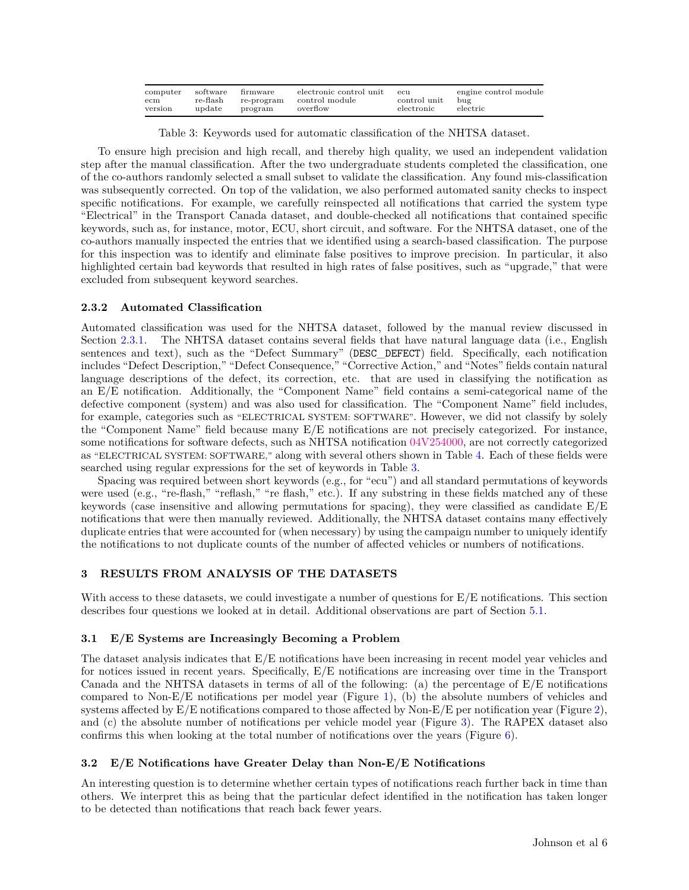<span id="page-5-0"></span>

| computer<br>ecm | software firmware |         | electronic control unit<br>re-flash re-program control module | $_{\rm ecu}$<br>control unit bug | engine control module |
|-----------------|-------------------|---------|---------------------------------------------------------------|----------------------------------|-----------------------|
| version         | update            | program | overflow                                                      | $\rm{electronic}$                | $\rm electric$        |

Table 3: Keywords used for automatic classification of the NHTSA dataset.

To ensure high precision and high recall, and thereby high quality, we used an independent validation step after the manual classification. After the two undergraduate students completed the classification, one of the co-authors randomly selected a small subset to validate the classification. Any found mis-classification was subsequently corrected. On top of the validation, we also performed automated sanity checks to inspect specific notifications. For example, we carefully reinspected all notifications that carried the system type "Electrical" in the Transport Canada dataset, and double-checked all notifications that contained specific keywords, such as, for instance, motor, ECU, short circuit, and software. For the NHTSA dataset, one of the co-authors manually inspected the entries that we identified using a search-based classification. The purpose for this inspection was to identify and eliminate false positives to improve precision. In particular, it also highlighted certain bad keywords that resulted in high rates of false positives, such as "upgrade," that were excluded from subsequent keyword searches.

## **2.3.2 Automated Classification**

Automated classification was used for the NHTSA dataset, followed by the manual review discussed in Section [2.3.1.](#page-4-0) The NHTSA dataset contains several fields that have natural language data (i.e., English sentences and text), such as the "Defect Summary" (DESC DEFECT) field. Specifically, each notification includes "Defect Description," "Defect Consequence," "Corrective Action," and "Notes" fields contain natural language descriptions of the defect, its correction, etc. that are used in classifying the notification as an E/E notification. Additionally, the "Component Name" field contains a semi-categorical name of the defective component (system) and was also used for classification. The "Component Name" field includes, for example, categories such as "ELECTRICAL SYSTEM: SOFTWARE". However, we did not classify by solely the "Component Name" field because many E/E notifications are not precisely categorized. For instance, some notifications for software defects, such as NHTSA notification [04V254000,](http://www-odi.nhtsa.dot.gov/owners/SearchResults?searchType=ID&targetCategory=R&searchCriteria.nhtsa_ids=04V254000) are not correctly categorized as "ELECTRICAL SYSTEM: SOFTWARE," along with several others shown in Table [4.](#page-9-0) Each of these fields were searched using regular expressions for the set of keywords in Table [3.](#page-5-0)

Spacing was required between short keywords (e.g., for "ecu") and all standard permutations of keywords were used (e.g., "re-flash," "reflash," "re flash," etc.). If any substring in these fields matched any of these keywords (case insensitive and allowing permutations for spacing), they were classified as candidate  $E/E$ notifications that were then manually reviewed. Additionally, the NHTSA dataset contains many effectively duplicate entries that were accounted for (when necessary) by using the campaign number to uniquely identify the notifications to not duplicate counts of the number of affected vehicles or numbers of notifications.

## **3 RESULTS FROM ANALYSIS OF THE DATASETS**

With access to these datasets, we could investigate a number of questions for  $E/E$  notifications. This section describes four questions we looked at in detail. Additional observations are part of Section [5.1.](#page-10-0)

## **3.1 E/E Systems are Increasingly Becoming a Problem**

The dataset analysis indicates that E/E notifications have been increasing in recent model year vehicles and for notices issued in recent years. Specifically, E/E notifications are increasing over time in the Transport Canada and the NHTSA datasets in terms of all of the following: (a) the percentage of E/E notifications compared to Non- $E/E$  notifications per model year (Figure [1\)](#page-6-0), (b) the absolute numbers of vehicles and systems affected by E/E notifications compared to those affected by Non-E/E per notification year (Figure [2\)](#page-6-1), and (c) the absolute number of notifications per vehicle model year (Figure [3\)](#page-6-2). The RAPEX dataset also confirms this when looking at the total number of notifications over the years (Figure [6\)](#page-8-0).

# **3.2 E/E Notifications have Greater Delay than Non-E/E Notifications**

An interesting question is to determine whether certain types of notifications reach further back in time than others. We interpret this as being that the particular defect identified in the notification has taken longer to be detected than notifications that reach back fewer years.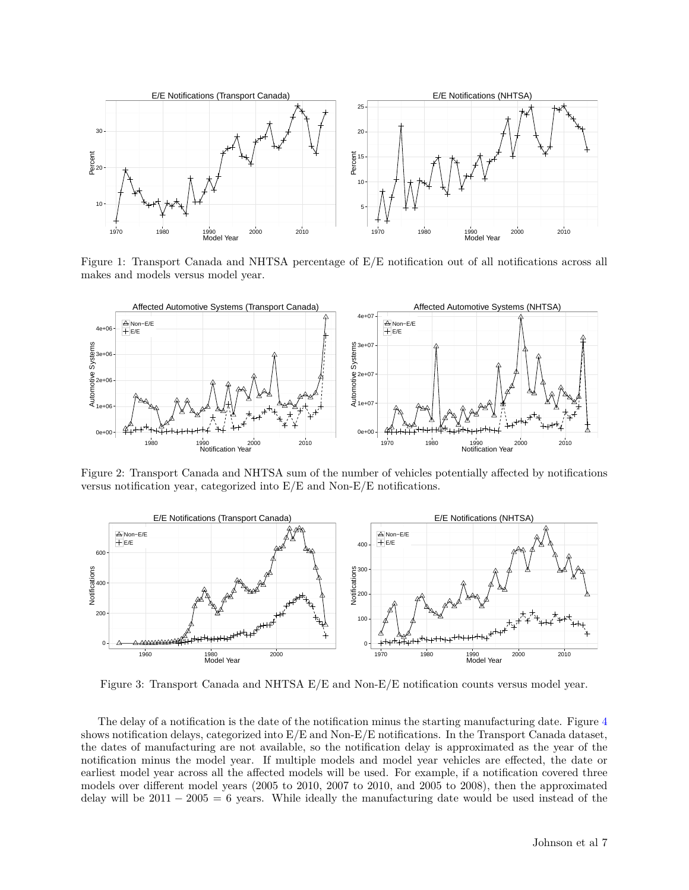<span id="page-6-0"></span>

Figure 1: Transport Canada and NHTSA percentage of E/E notification out of all notifications across all makes and models versus model year.

<span id="page-6-1"></span>

Figure 2: Transport Canada and NHTSA sum of the number of vehicles potentially affected by notifications versus notification year, categorized into E/E and Non-E/E notifications.

<span id="page-6-2"></span>

Figure 3: Transport Canada and NHTSA E/E and Non-E/E notification counts versus model year.

The delay of a notification is the date of the notification minus the starting manufacturing date. Figure [4](#page-7-0) shows notification delays, categorized into E/E and Non-E/E notifications. In the Transport Canada dataset, the dates of manufacturing are not available, so the notification delay is approximated as the year of the notification minus the model year. If multiple models and model year vehicles are effected, the date or earliest model year across all the affected models will be used. For example, if a notification covered three models over different model years (2005 to 2010, 2007 to 2010, and 2005 to 2008), then the approximated delay will be  $2011 - 2005 = 6$  years. While ideally the manufacturing date would be used instead of the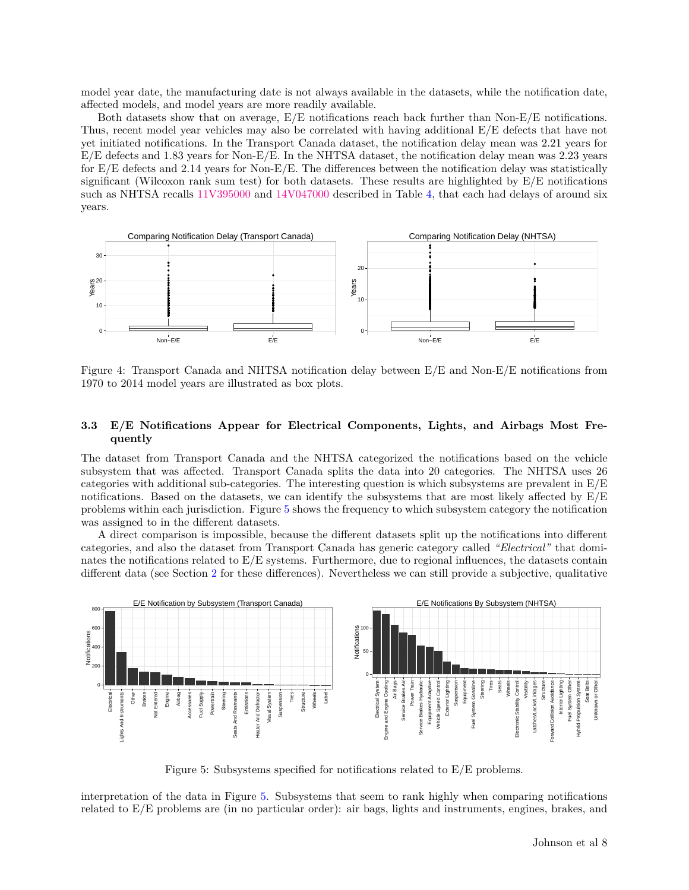model year date, the manufacturing date is not always available in the datasets, while the notification date, affected models, and model years are more readily available.

Both datasets show that on average, E/E notifications reach back further than Non-E/E notifications. Thus, recent model year vehicles may also be correlated with having additional E/E defects that have not yet initiated notifications. In the Transport Canada dataset, the notification delay mean was 2*.*21 years for E/E defects and 1*.*83 years for Non-E/E. In the NHTSA dataset, the notification delay mean was 2*.*23 years for E/E defects and 2*.*14 years for Non-E/E. The differences between the notification delay was statistically significant (Wilcoxon rank sum test) for both datasets. These results are highlighted by E/E notifications such as NHTSA recalls [11V395000](http://www-odi.nhtsa.dot.gov/owners/SearchResults?searchType=ID&targetCategory=R&searchCriteria.nhtsa_ids=11V395000) and [14V047000](http://www-odi.nhtsa.dot.gov/owners/SearchResults?searchType=ID&targetCategory=R&searchCriteria.nhtsa_ids=14V047000) described in Table [4,](#page-9-0) that each had delays of around six years.

<span id="page-7-0"></span>

Figure 4: Transport Canada and NHTSA notification delay between E/E and Non-E/E notifications from 1970 to 2014 model years are illustrated as box plots.

# **3.3 E/E Notifications Appear for Electrical Components, Lights, and Airbags Most Frequently**

The dataset from Transport Canada and the NHTSA categorized the notifications based on the vehicle subsystem that was affected. Transport Canada splits the data into 20 categories. The NHTSA uses 26 categories with additional sub-categories. The interesting question is which subsystems are prevalent in  $E/E$ notifications. Based on the datasets, we can identify the subsystems that are most likely affected by  $E/E$ problems within each jurisdiction. Figure [5](#page-7-1) shows the frequency to which subsystem category the notification was assigned to in the different datasets.

A direct comparison is impossible, because the different datasets split up the notifications into different categories, and also the dataset from Transport Canada has generic category called *"Electrical"* that dominates the notifications related to E/E systems. Furthermore, due to regional influences, the datasets contain different data (see Section [2](#page-1-1) for these differences). Nevertheless we can still provide a subjective, qualitative

<span id="page-7-1"></span>

Figure 5: Subsystems specified for notifications related to E/E problems.

interpretation of the data in Figure [5.](#page-7-1) Subsystems that seem to rank highly when comparing notifications related to E/E problems are (in no particular order): air bags, lights and instruments, engines, brakes, and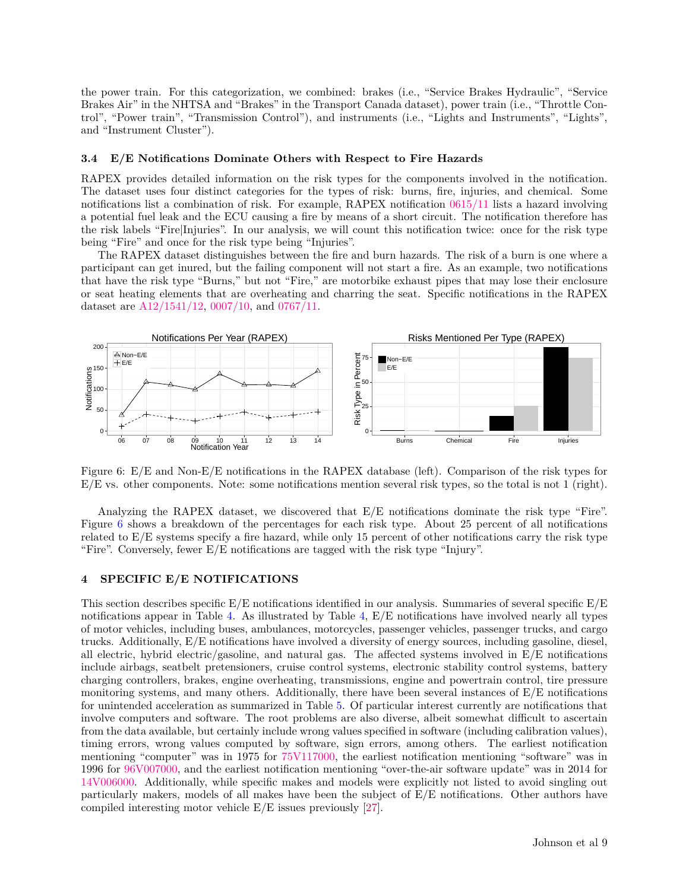the power train. For this categorization, we combined: brakes (i.e., "Service Brakes Hydraulic", "Service Brakes Air" in the NHTSA and "Brakes" in the Transport Canada dataset), power train (i.e., "Throttle Control", "Power train", "Transmission Control"), and instruments (i.e., "Lights and Instruments", "Lights", and "Instrument Cluster").

### **3.4 E/E Notifications Dominate Others with Respect to Fire Hazards**

RAPEX provides detailed information on the risk types for the components involved in the notification. The dataset uses four distinct categories for the types of risk: burns, fire, injuries, and chemical. Some notifications list a combination of risk. For example, RAPEX notification [0615/11](http://ec.europa.eu/consumers/safety/rapex/alerts/main/index.cfm?event=main.notification&search_term=0615/11&exclude_search_term=0&search_year=2011) lists a hazard involving a potential fuel leak and the ECU causing a fire by means of a short circuit. The notification therefore has the risk labels "Fire|Injuries". In our analysis, we will count this notification twice: once for the risk type being "Fire" and once for the risk type being "Injuries".

The RAPEX dataset distinguishes between the fire and burn hazards. The risk of a burn is one where a participant can get inured, but the failing component will not start a fire. As an example, two notifications that have the risk type "Burns," but not "Fire," are motorbike exhaust pipes that may lose their enclosure or seat heating elements that are overheating and charring the seat. Specific notifications in the RAPEX dataset are [A12/1541/12,](http://ec.europa.eu/consumers/safety/rapex/alerts/main/index.cfm?event=main.notification&search_term=A12/1541/12&exclude_search_term=0&search_year=2012) [0007/10,](http://ec.europa.eu/consumers/safety/rapex/alerts/main/index.cfm?event=main.notification&search_term=0007/10&exclude_search_term=0&search_year=2010) and [0767/11.](http://ec.europa.eu/consumers/safety/rapex/alerts/main/index.cfm?event=main.notification&search_term=0767/11&exclude_search_term=0&search_year=2011)

<span id="page-8-0"></span>

Figure 6: E/E and Non-E/E notifications in the RAPEX database (left). Comparison of the risk types for E/E vs. other components. Note: some notifications mention several risk types, so the total is not 1 (right).

Analyzing the RAPEX dataset, we discovered that E/E notifications dominate the risk type "Fire". Figure [6](#page-8-0) shows a breakdown of the percentages for each risk type. About 25 percent of all notifications related to E/E systems specify a fire hazard, while only 15 percent of other notifications carry the risk type "Fire". Conversely, fewer E/E notifications are tagged with the risk type "Injury".

### **4 SPECIFIC E/E NOTIFICATIONS**

This section describes specific  $E/E$  notifications identified in our analysis. Summaries of several specific  $E/E$ notifications appear in Table [4.](#page-9-0) As illustrated by Table [4,](#page-9-0) E/E notifications have involved nearly all types of motor vehicles, including buses, ambulances, motorcycles, passenger vehicles, passenger trucks, and cargo trucks. Additionally, E/E notifications have involved a diversity of energy sources, including gasoline, diesel, all electric, hybrid electric/gasoline, and natural gas. The affected systems involved in E/E notifications include airbags, seatbelt pretensioners, cruise control systems, electronic stability control systems, battery charging controllers, brakes, engine overheating, transmissions, engine and powertrain control, tire pressure monitoring systems, and many others. Additionally, there have been several instances of  $E/E$  notifications for unintended acceleration as summarized in Table [5.](#page-10-1) Of particular interest currently are notifications that involve computers and software. The root problems are also diverse, albeit somewhat difficult to ascertain from the data available, but certainly include wrong values specified in software (including calibration values), timing errors, wrong values computed by software, sign errors, among others. The earliest notification mentioning "computer" was in 1975 for [75V117000,](http://www-odi.nhtsa.dot.gov/owners/SearchResults?searchType=ID&targetCategory=R&searchCriteria.nhtsa_ids=75V117000) the earliest notification mentioning "software" was in 1996 for [96V007000,](http://www-odi.nhtsa.dot.gov/owners/SearchResults?searchType=ID&targetCategory=R&searchCriteria.nhtsa_ids=96V007000) and the earliest notification mentioning "over-the-air software update" was in 2014 for [14V006000.](http://www-odi.nhtsa.dot.gov/owners/SearchResults?searchType=ID&targetCategory=R&searchCriteria.nhtsa_ids=14V006000) Additionally, while specific makes and models were explicitly not listed to avoid singling out particularly makers, models of all makes have been the subject of E/E notifications. Other authors have compiled interesting motor vehicle E/E issues previously [\[27\]](#page-13-26).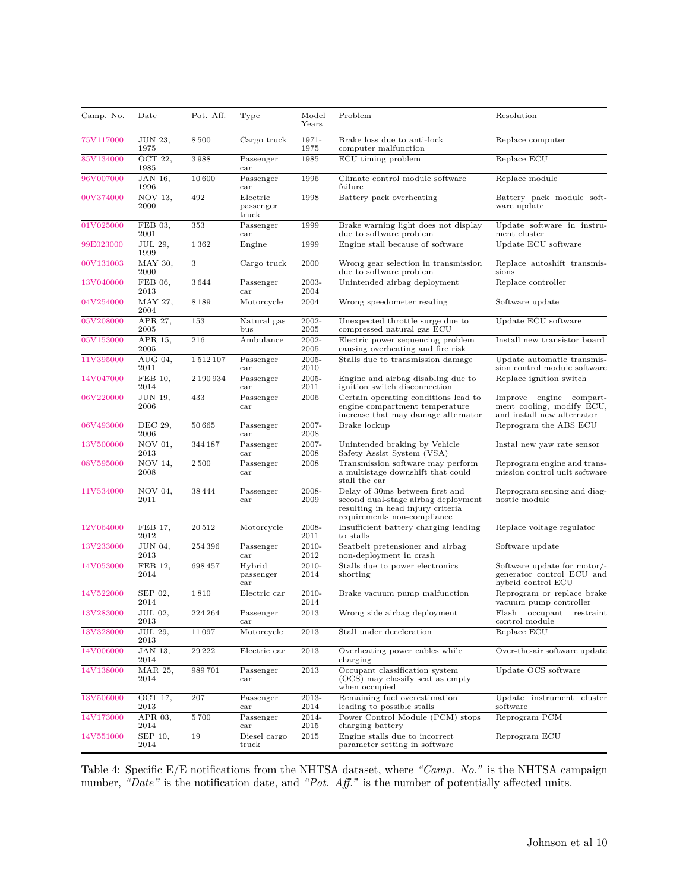<span id="page-9-0"></span>

| Camp. No. | Date                         | Pot. Aff. | Type                              | Model<br>Years | Problem                                                                                                                                    | Resolution                                                                         |
|-----------|------------------------------|-----------|-----------------------------------|----------------|--------------------------------------------------------------------------------------------------------------------------------------------|------------------------------------------------------------------------------------|
| 75V117000 | <b>JUN 23,</b><br>1975       | 8500      | Cargo truck                       | 1971-<br>1975  | Brake loss due to anti-lock<br>computer malfunction                                                                                        | Replace computer                                                                   |
| 85V134000 | OCT 22,<br>1985              | 3988      | Passenger<br>car                  | 1985           | ECU timing problem                                                                                                                         | Replace ECU                                                                        |
| 96V007000 | JAN 16,<br>1996              | 10600     | Passenger<br>car                  | 1996           | Climate control module software<br>failure                                                                                                 | Replace module                                                                     |
| 00V374000 | $\overline{NOV}$ 13,<br>2000 | 492       | Electric<br>passenger<br>truck    | 1998           | Battery pack overheating                                                                                                                   | Battery pack module soft-<br>ware update                                           |
| 01V025000 | FEB 03,<br>2001              | 353       | Passenger<br>car                  | 1999           | Brake warning light does not display<br>due to software problem                                                                            | Update software in instru-<br>ment cluster                                         |
| 99E023000 | <b>JUL 29.</b><br>1999       | 1362      | Engine                            | 1999           | Engine stall because of software                                                                                                           | Update ECU software                                                                |
| 00V131003 | MAY 30,<br>2000              | 3         | Cargo truck                       | 2000           | Wrong gear selection in transmission<br>due to software problem                                                                            | Replace autoshift transmis-<br>sions                                               |
| 13V040000 | FEB 06,<br>2013              | 3644      | Passenger<br>car                  | 2003-<br>2004  | Unintended airbag deployment                                                                                                               | Replace controller                                                                 |
| 04V254000 | MAY 27,<br>2004              | 8189      | Motorcycle                        | 2004           | Wrong speedometer reading                                                                                                                  | Software update                                                                    |
| 05V208000 | APR 27,<br>2005              | 153       | Natural gas<br>bus                | 2002-<br>2005  | Unexpected throttle surge due to<br>compressed natural gas ECU                                                                             | Update ECU software                                                                |
| 05V153000 | APR 15.<br>2005              | 216       | Ambulance                         | 2002-<br>2005  | Electric power sequencing problem<br>causing overheating and fire risk                                                                     | Install new transistor board                                                       |
| 11V395000 | AUG 04,<br>2011              | 1512107   | Passenger<br>car                  | 2005-<br>2010  | Stalls due to transmission damage                                                                                                          | Update automatic transmis-<br>sion control module software                         |
| 14V047000 | FEB 10.<br>2014              | 2190934   | Passenger<br>car                  | 2005-<br>2011  | Engine and airbag disabling due to<br>ignition switch disconnection                                                                        | Replace ignition switch                                                            |
| 06V220000 | JUN 19.<br>2006              | 433       | Passenger<br>car                  | 2006           | Certain operating conditions lead to<br>engine compartment temperature<br>increase that may damage alternator                              | Improve engine compart-<br>ment cooling, modify ECU,<br>and install new alternator |
| 06V493000 | DEC 29,<br>2006              | 50 665    | Passenger<br>car                  | 2007-<br>2008  | Brake lockup                                                                                                                               | Reprogram the ABS ECU                                                              |
| 13V500000 | NOV 01,<br>2013              | 344 187   | Passenger<br>car                  | 2007-<br>2008  | Unintended braking by Vehicle<br>Safety Assist System (VSA)                                                                                | Instal new yaw rate sensor                                                         |
| 08V595000 | NOV 14,<br>2008              | 2500      | Passenger<br>car                  | 2008           | Transmission software may perform<br>a multistage downshift that could<br>stall the car                                                    | Reprogram engine and trans-<br>mission control unit software                       |
| 11V534000 | NOV 04,<br>2011              | 38 4 4 4  | Passenger<br>car                  | 2008-<br>2009  | Delay of 30ms between first and<br>second dual-stage airbag deployment<br>resulting in head injury criteria<br>requirements non-compliance | Reprogram sensing and diag-<br>nostic module                                       |
| 12V064000 | FEB 17.<br>2012              | 20512     | Motorcycle                        | 2008-<br>2011  | Insufficient battery charging leading<br>to stalls                                                                                         | Replace voltage regulator                                                          |
| 13V233000 | JUN 04,<br>2013              | 254 396   | Passenger<br>car                  | 2010-<br>2012  | Seatbelt pretensioner and airbag<br>non-deployment in crash                                                                                | Software update                                                                    |
| 14V053000 | FEB 12.<br>2014              | 698 457   | Hybrid<br>passenger<br>car        | 2010-<br>2014  | Stalls due to power electronics<br>shorting                                                                                                | Software update for motor/-<br>generator control ECU and<br>hybrid control ECU     |
| 14V522000 | SEP 02,<br>2014              | 1810      | Electric car                      | 2010-<br>2014  | Brake vacuum pump malfunction                                                                                                              | Reprogram or replace brake<br>vacuum pump controller                               |
| 13V283000 | JUL 02,<br>2013              | 224 264   | Passenger<br>car                  | 2013           | Wrong side airbag deployment                                                                                                               | Flash occupant<br>$\operatorname{restraint}$<br>control module                     |
| 13V328000 | JUL 29,<br>2013              | 11097     | Motorcycle                        | 2013           | Stall under deceleration                                                                                                                   | Replace ECU                                                                        |
| 14V006000 | JAN 13,<br>2014              | 29 222    | Electric car                      | 2013           | Overheating power cables while<br>charging                                                                                                 | Over-the-air software update                                                       |
| 14V138000 | MAR 25,<br>2014              | 989701    | Passenger<br>car                  | 2013           | Occupant classification system<br>(OCS) may classify seat as empty<br>when occupied                                                        | Update OCS software                                                                |
| 13V506000 | OCT 17,<br>2013              | 207       | Passenger<br>car                  | 2013-<br>2014  | Remaining fuel overestimation<br>leading to possible stalls                                                                                | Update instrument cluster<br>software                                              |
| 14V173000 | APR 03,<br>2014              | 5700      | Passenger<br>$\operatorname{car}$ | 2014-<br>2015  | Power Control Module (PCM) stops<br>charging battery                                                                                       | Reprogram PCM                                                                      |
| 14V551000 | SEP 10,<br>2014              | 19        | Diesel cargo<br>$_{\rm truck}$    | 2015           | Engine stalls due to incorrect<br>parameter setting in software                                                                            | Reprogram ECU                                                                      |

Table 4: Specific E/E notifications from the NHTSA dataset, where *"Camp. No."* is the NHTSA campaign number, *"Date"* is the notification date, and *"Pot. Aff."* is the number of potentially affected units.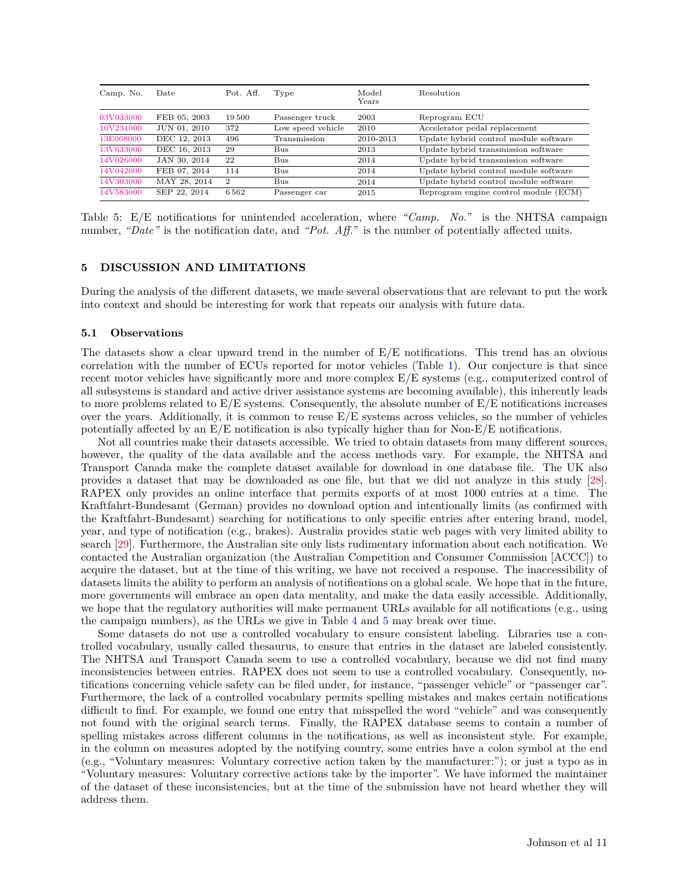<span id="page-10-1"></span>

| Camp. No. | Date         | Pot. Aff. | Type              | Model<br>Years | Resolution                            |
|-----------|--------------|-----------|-------------------|----------------|---------------------------------------|
| 03V033000 | FEB 05, 2003 | 19500     | Passenger truck   | 2003           | Reprogram ECU                         |
| 10V231000 | JUN 01, 2010 | 372       | Low speed vehicle | 2010           | Accelerator pedal replacement         |
| 13E068000 | DEC 12, 2013 | 496       | Transmission      | 2010-2013      | Update hybrid control module software |
| 13V633000 | DEC 16, 2013 | 29        | Bus               | 2013           | Update hybrid transmission software   |
| 14V026000 | JAN 30, 2014 | 22        | Bus               | 2014           | Update hybrid transmission software   |
| 14V042000 | FEB 07, 2014 | 114       | Bus               | 2014           | Update hybrid control module software |
| 14V303000 | MAY 28, 2014 | 2         | B <sub>11S</sub>  | 2014           | Update hybrid control module software |
| 14V583000 | SEP 22, 2014 | 6562      | Passenger car     | 2015           | Reprogram engine control module (ECM) |

Table 5: E/E notifications for unintended acceleration, where *"Camp. No."* is the NHTSA campaign number, *"Date"* is the notification date, and *"Pot. Aff."* is the number of potentially affected units.

### **5 DISCUSSION AND LIMITATIONS**

During the analysis of the different datasets, we made several observations that are relevant to put the work into context and should be interesting for work that repeats our analysis with future data.

### <span id="page-10-0"></span>**5.1 Observations**

The datasets show a clear upward trend in the number of E/E notifications. This trend has an obvious correlation with the number of ECUs reported for motor vehicles (Table [1\)](#page-1-0). Our conjecture is that since recent motor vehicles have significantly more and more complex E/E systems (e.g., computerized control of all subsystems is standard and active driver assistance systems are becoming available), this inherently leads to more problems related to  $E/E$  systems. Consequently, the absolute number of  $E/E$  notifications increases over the years. Additionally, it is common to reuse  $E/E$  systems across vehicles, so the number of vehicles potentially affected by an  $E/E$  notification is also typically higher than for Non- $E/E$  notifications.

Not all countries make their datasets accessible. We tried to obtain datasets from many different sources, however, the quality of the data available and the access methods vary. For example, the NHTSA and Transport Canada make the complete dataset available for download in one database file. The UK also provides a dataset that may be downloaded as one file, but that we did not analyze in this study [\[28\]](#page-14-0). RAPEX only provides an online interface that permits exports of at most 1000 entries at a time. The Kraftfahrt-Bundesamt (German) provides no download option and intentionally limits (as confirmed with the Kraftfahrt-Bundesamt) searching for notifications to only specific entries after entering brand, model, year, and type of notification (e.g., brakes). Australia provides static web pages with very limited ability to search [\[29\]](#page-14-1). Furthermore, the Australian site only lists rudimentary information about each notification. We contacted the Australian organization (the Australian Competition and Consumer Commission [ACCC]) to acquire the dataset, but at the time of this writing, we have not received a response. The inaccessibility of datasets limits the ability to perform an analysis of notifications on a global scale. We hope that in the future, more governments will embrace an open data mentality, and make the data easily accessible. Additionally, we hope that the regulatory authorities will make permanent URLs available for all notifications (e.g., using the campaign numbers), as the URLs we give in Table [4](#page-9-0) and [5](#page-10-1) may break over time.

Some datasets do not use a controlled vocabulary to ensure consistent labeling. Libraries use a controlled vocabulary, usually called thesaurus, to ensure that entries in the dataset are labeled consistently. The NHTSA and Transport Canada seem to use a controlled vocabulary, because we did not find many inconsistencies between entries. RAPEX does not seem to use a controlled vocabulary. Consequently, notifications concerning vehicle safety can be filed under, for instance, "passenger vehicle" or "passenger car". Furthermore, the lack of a controlled vocabulary permits spelling mistakes and makes certain notifications difficult to find. For example, we found one entry that misspelled the word "vehicle" and was consequently not found with the original search terms. Finally, the RAPEX database seems to contain a number of spelling mistakes across different columns in the notifications, as well as inconsistent style. For example, in the column on measures adopted by the notifying country, some entries have a colon symbol at the end (e.g., "Voluntary measures: Voluntary corrective action taken by the manufacturer:"); or just a typo as in "Voluntary measures: Voluntary corrective actions take by the importer". We have informed the maintainer of the dataset of these inconsistencies, but at the time of the submission have not heard whether they will address them.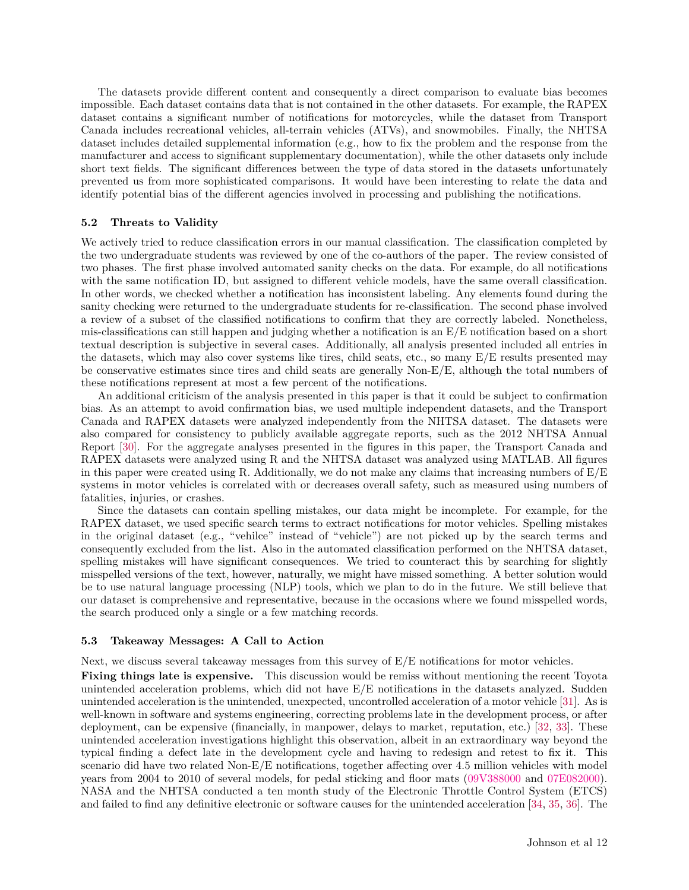The datasets provide different content and consequently a direct comparison to evaluate bias becomes impossible. Each dataset contains data that is not contained in the other datasets. For example, the RAPEX dataset contains a significant number of notifications for motorcycles, while the dataset from Transport Canada includes recreational vehicles, all-terrain vehicles (ATVs), and snowmobiles. Finally, the NHTSA dataset includes detailed supplemental information (e.g., how to fix the problem and the response from the manufacturer and access to significant supplementary documentation), while the other datasets only include short text fields. The significant differences between the type of data stored in the datasets unfortunately prevented us from more sophisticated comparisons. It would have been interesting to relate the data and identify potential bias of the different agencies involved in processing and publishing the notifications.

### **5.2 Threats to Validity**

We actively tried to reduce classification errors in our manual classification. The classification completed by the two undergraduate students was reviewed by one of the co-authors of the paper. The review consisted of two phases. The first phase involved automated sanity checks on the data. For example, do all notifications with the same notification ID, but assigned to different vehicle models, have the same overall classification. In other words, we checked whether a notification has inconsistent labeling. Any elements found during the sanity checking were returned to the undergraduate students for re-classification. The second phase involved a review of a subset of the classified notifications to confirm that they are correctly labeled. Nonetheless, mis-classifications can still happen and judging whether a notification is an E/E notification based on a short textual description is subjective in several cases. Additionally, all analysis presented included all entries in the datasets, which may also cover systems like tires, child seats, etc., so many  $E/E$  results presented may be conservative estimates since tires and child seats are generally Non-E/E, although the total numbers of these notifications represent at most a few percent of the notifications.

An additional criticism of the analysis presented in this paper is that it could be subject to confirmation bias. As an attempt to avoid confirmation bias, we used multiple independent datasets, and the Transport Canada and RAPEX datasets were analyzed independently from the NHTSA dataset. The datasets were also compared for consistency to publicly available aggregate reports, such as the 2012 NHTSA Annual Report [\[30\]](#page-14-2). For the aggregate analyses presented in the figures in this paper, the Transport Canada and RAPEX datasets were analyzed using R and the NHTSA dataset was analyzed using MATLAB. All figures in this paper were created using R. Additionally, we do not make any claims that increasing numbers of  $E/E$ systems in motor vehicles is correlated with or decreases overall safety, such as measured using numbers of fatalities, injuries, or crashes.

Since the datasets can contain spelling mistakes, our data might be incomplete. For example, for the RAPEX dataset, we used specific search terms to extract notifications for motor vehicles. Spelling mistakes in the original dataset (e.g., "vehilce" instead of "vehicle") are not picked up by the search terms and consequently excluded from the list. Also in the automated classification performed on the NHTSA dataset, spelling mistakes will have significant consequences. We tried to counteract this by searching for slightly misspelled versions of the text, however, naturally, we might have missed something. A better solution would be to use natural language processing (NLP) tools, which we plan to do in the future. We still believe that our dataset is comprehensive and representative, because in the occasions where we found misspelled words, the search produced only a single or a few matching records.

## **5.3 Takeaway Messages: A Call to Action**

Next, we discuss several takeaway messages from this survey of E/E notifications for motor vehicles.

**Fixing things late is expensive.** This discussion would be remiss without mentioning the recent Toyota unintended acceleration problems, which did not have E/E notifications in the datasets analyzed. Sudden unintended acceleration is the unintended, unexpected, uncontrolled acceleration of a motor vehicle [\[31\]](#page-14-3). As is well-known in software and systems engineering, correcting problems late in the development process, or after deployment, can be expensive (financially, in manpower, delays to market, reputation, etc.) [\[32,](#page-14-4) [33\]](#page-14-5). These unintended acceleration investigations highlight this observation, albeit in an extraordinary way beyond the typical finding a defect late in the development cycle and having to redesign and retest to fix it. This scenario did have two related Non-E/E notifications, together affecting over 4.5 million vehicles with model years from 2004 to 2010 of several models, for pedal sticking and floor mats [\(09V388000](http://www-odi.nhtsa.dot.gov/owners/SearchResults?searchType=ID&targetCategory=R&searchCriteria.nhtsa_ids=09V388000) and [07E082000\)](http://www-odi.nhtsa.dot.gov/owners/SearchResults?searchType=ID&targetCategory=R&searchCriteria.nhtsa_ids=07E082000). NASA and the NHTSA conducted a ten month study of the Electronic Throttle Control System (ETCS) and failed to find any definitive electronic or software causes for the unintended acceleration [\[34,](#page-14-6) [35,](#page-14-7) [36\]](#page-14-8). The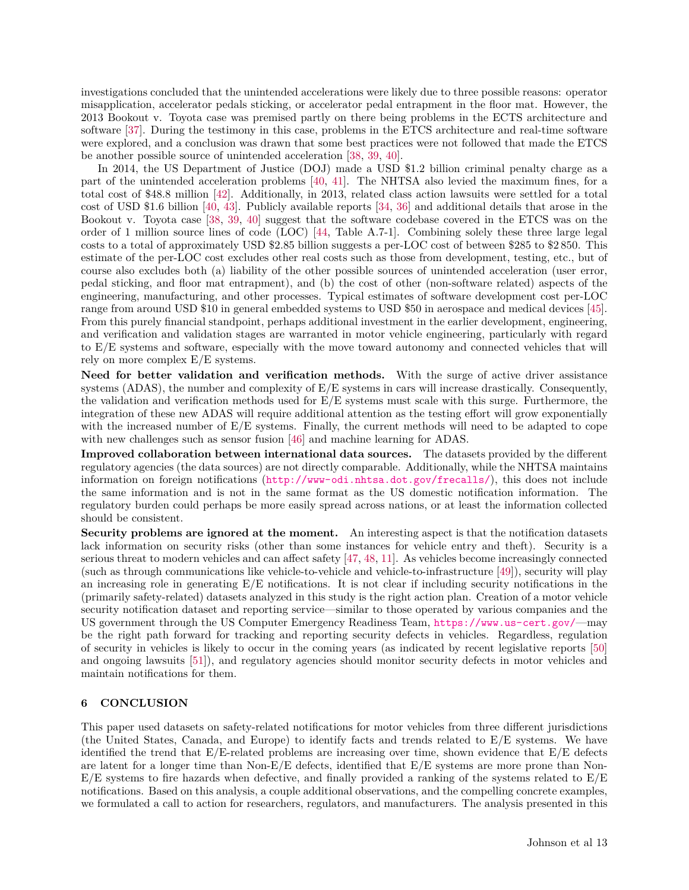investigations concluded that the unintended accelerations were likely due to three possible reasons: operator misapplication, accelerator pedals sticking, or accelerator pedal entrapment in the floor mat. However, the 2013 Bookout v. Toyota case was premised partly on there being problems in the ECTS architecture and software [\[37\]](#page-14-9). During the testimony in this case, problems in the ETCS architecture and real-time software were explored, and a conclusion was drawn that some best practices were not followed that made the ETCS be another possible source of unintended acceleration [\[38,](#page-14-10) [39,](#page-14-11) [40\]](#page-14-12).

In 2014, the US Department of Justice (DOJ) made a USD \$1.2 billion criminal penalty charge as a part of the unintended acceleration problems [\[40,](#page-14-12) [41\]](#page-14-13). The NHTSA also levied the maximum fines, for a total cost of \$48.8 million [\[42\]](#page-14-14). Additionally, in 2013, related class action lawsuits were settled for a total cost of USD \$1.6 billion [\[40,](#page-14-12) [43\]](#page-14-15). Publicly available reports [\[34,](#page-14-6) [36\]](#page-14-8) and additional details that arose in the Bookout v. Toyota case [\[38,](#page-14-10) [39,](#page-14-11) [40\]](#page-14-12) suggest that the software codebase covered in the ETCS was on the order of 1 million source lines of code (LOC) [\[44,](#page-14-16) Table A.7-1]. Combining solely these three large legal costs to a total of approximately USD \$2.85 billion suggests a per-LOC cost of between \$285 to \$2 850. This estimate of the per-LOC cost excludes other real costs such as those from development, testing, etc., but of course also excludes both (a) liability of the other possible sources of unintended acceleration (user error, pedal sticking, and floor mat entrapment), and (b) the cost of other (non-software related) aspects of the engineering, manufacturing, and other processes. Typical estimates of software development cost per-LOC range from around USD \$10 in general embedded systems to USD \$50 in aerospace and medical devices [\[45\]](#page-14-17). From this purely financial standpoint, perhaps additional investment in the earlier development, engineering, and verification and validation stages are warranted in motor vehicle engineering, particularly with regard to E/E systems and software, especially with the move toward autonomy and connected vehicles that will rely on more complex E/E systems.

**Need for better validation and verification methods.** With the surge of active driver assistance systems (ADAS), the number and complexity of  $E/E$  systems in cars will increase drastically. Consequently, the validation and verification methods used for E/E systems must scale with this surge. Furthermore, the integration of these new ADAS will require additional attention as the testing effort will grow exponentially with the increased number of  $E/E$  systems. Finally, the current methods will need to be adapted to cope with new challenges such as sensor fusion [\[46\]](#page-14-18) and machine learning for ADAS.

**Improved collaboration between international data sources.** The datasets provided by the different regulatory agencies (the data sources) are not directly comparable. Additionally, while the NHTSA maintains information on foreign notifications (<http://www-odi.nhtsa.dot.gov/frecalls/>), this does not include the same information and is not in the same format as the US domestic notification information. The regulatory burden could perhaps be more easily spread across nations, or at least the information collected should be consistent.

**Security problems are ignored at the moment.** An interesting aspect is that the notification datasets lack information on security risks (other than some instances for vehicle entry and theft). Security is a serious threat to modern vehicles and can affect safety [\[47,](#page-14-19) [48,](#page-14-20) [11\]](#page-13-10). As vehicles become increasingly connected (such as through communications like vehicle-to-vehicle and vehicle-to-infrastructure [\[49\]](#page-14-21)), security will play an increasing role in generating  $E/E$  notifications. It is not clear if including security notifications in the (primarily safety-related) datasets analyzed in this study is the right action plan. Creation of a motor vehicle security notification dataset and reporting service—similar to those operated by various companies and the US government through the US Computer Emergency Readiness Team, <https://www.us-cert.gov/>—may be the right path forward for tracking and reporting security defects in vehicles. Regardless, regulation of security in vehicles is likely to occur in the coming years (as indicated by recent legislative reports [\[50\]](#page-14-22) and ongoing lawsuits [\[51\]](#page-14-23)), and regulatory agencies should monitor security defects in motor vehicles and maintain notifications for them.

## **6 CONCLUSION**

This paper used datasets on safety-related notifications for motor vehicles from three different jurisdictions (the United States, Canada, and Europe) to identify facts and trends related to E/E systems. We have identified the trend that  $E/E$ -related problems are increasing over time, shown evidence that  $E/E$  defects are latent for a longer time than  $Non-E/E$  defects, identified that  $E/E$  systems are more prone than Non- $E/E$  systems to fire hazards when defective, and finally provided a ranking of the systems related to  $E/E$ notifications. Based on this analysis, a couple additional observations, and the compelling concrete examples, we formulated a call to action for researchers, regulators, and manufacturers. The analysis presented in this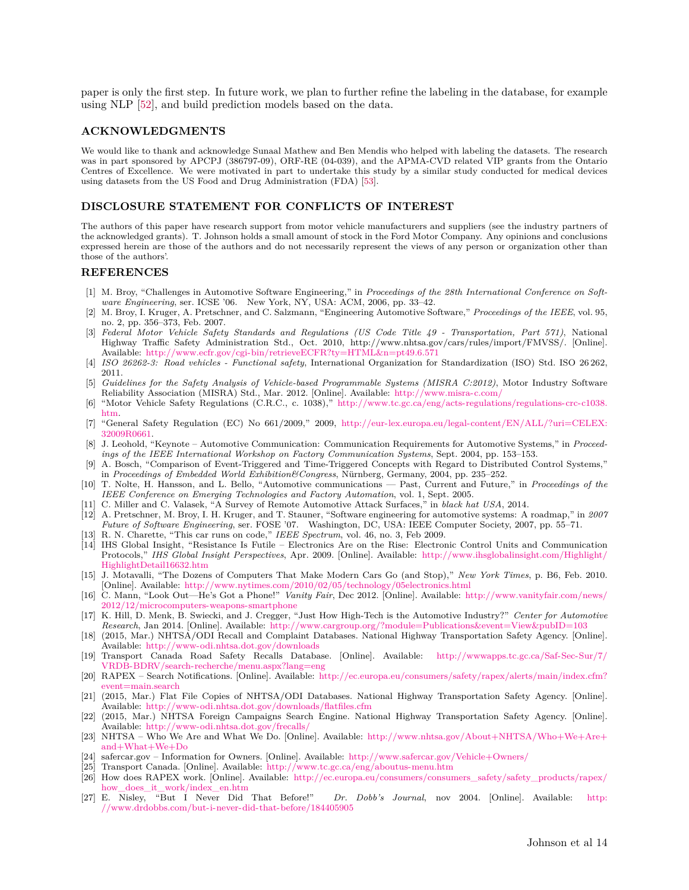paper is only the first step. In future work, we plan to further refine the labeling in the database, for example using NLP [\[52\]](#page-14-24), and build prediction models based on the data.

#### **ACKNOWLEDGMENTS**

We would like to thank and acknowledge Sunaal Mathew and Ben Mendis who helped with labeling the datasets. The research was in part sponsored by APCPJ (386797-09), ORF-RE (04-039), and the APMA-CVD related VIP grants from the Ontario Centres of Excellence. We were motivated in part to undertake this study by a similar study conducted for medical devices using datasets from the US Food and Drug Administration (FDA) [\[53\]](#page-14-25).

#### **DISCLOSURE STATEMENT FOR CONFLICTS OF INTEREST**

The authors of this paper have research support from motor vehicle manufacturers and suppliers (see the industry partners of the acknowledged grants). T. Johnson holds a small amount of stock in the Ford Motor Company. Any opinions and conclusions expressed herein are those of the authors and do not necessarily represent the views of any person or organization other than those of the authors'.

#### **REFERENCES**

- <span id="page-13-0"></span>[1] M. Broy, "Challenges in Automotive Software Engineering," in *Proceedings of the 28th International Conference on Software Engineering*, ser. ICSE '06. New York, NY, USA: ACM, 2006, pp. 33–42.
- <span id="page-13-1"></span>[2] M. Broy, I. Kruger, A. Pretschner, and C. Salzmann, "Engineering Automotive Software," *Proceedings of the IEEE*, vol. 95, no. 2, pp. 356–373, Feb. 2007.
- <span id="page-13-2"></span>[3] *Federal Motor Vehicle Safety Standards and Regulations (US Code Title 49 - Transportation, Part 571)*, National Highway Traffic Safety Administration Std., Oct. 2010, http://www.nhtsa.gov/cars/rules/import/FMVSS/. [Online]. Available: <http://www.ecfr.gov/cgi-bin/retrieveECFR?ty=HTML&n=pt49.6.571>
- <span id="page-13-3"></span>[4] *ISO 26262-3: Road vehicles - Functional safety*, International Organization for Standardization (ISO) Std. ISO 26 262, 2011.
- <span id="page-13-4"></span>[5] *Guidelines for the Safety Analysis of Vehicle-based Programmable Systems (MISRA C:2012)*, Motor Industry Software Reliability Association (MISRA) Std., Mar. 2012. [Online]. Available: <http://www.misra-c.com/>
- <span id="page-13-5"></span>[6] "Motor Vehicle Safety Regulations (C.R.C., c. 1038)," [http://www.tc.gc.ca/eng/acts-regulations/regulations-crc-c1038.](http://www.tc.gc.ca/eng/acts-regulations/regulations-crc-c1038.htm) [htm.](http://www.tc.gc.ca/eng/acts-regulations/regulations-crc-c1038.htm)
- <span id="page-13-6"></span>[7] "General Safety Regulation (EC) No 661/2009," 2009, [http://eur-lex.europa.eu/legal-content/EN/ALL/?uri=CELEX:](http://eur-lex.europa.eu/legal-content/EN/ALL/?uri=CELEX:32009R0661) [32009R0661.](http://eur-lex.europa.eu/legal-content/EN/ALL/?uri=CELEX:32009R0661)
- <span id="page-13-7"></span>[8] J. Leohold, "Keynote – Automotive Communication: Communication Requirements for Automotive Systems," in *Proceedings of the IEEE International Workshop on Factory Communication Systems*, Sept. 2004, pp. 153–153.
- <span id="page-13-8"></span>[9] A. Bosch, "Comparison of Event-Triggered and Time-Triggered Concepts with Regard to Distributed Control Systems," in *Proceedings of Embedded World Exhibition&Congress*, Nürnberg, Germany, 2004, pp. 235–252.
- <span id="page-13-9"></span>[10] T. Nolte, H. Hansson, and L. Bello, "Automotive communications — Past, Current and Future," in *Proceedings of the IEEE Conference on Emerging Technologies and Factory Automation*, vol. 1, Sept. 2005.
- <span id="page-13-10"></span>[11] C. Miller and C. Valasek, "A Survey of Remote Automotive Attack Surfaces," in *black hat USA*, 2014.
- <span id="page-13-11"></span>[12] A. Pretschner, M. Broy, I. H. Kruger, and T. Stauner, "Software engineering for automotive systems: A roadmap," in *2007 Future of Software Engineering*, ser. FOSE '07. Washington, DC, USA: IEEE Computer Society, 2007, pp. 55–71.
- <span id="page-13-12"></span>[13] R. N. Charette, "This car runs on code," *IEEE Spectrum*, vol. 46, no. 3, Feb 2009.
- <span id="page-13-13"></span>[14] IHS Global Insight, "Resistance Is Futile – Electronics Are on the Rise: Electronic Control Units and Communication Protocols," *IHS Global Insight Perspectives*, Apr. 2009. [Online]. Available: [http://www.ihsglobalinsight.com/Highlight/](http://www.ihsglobalinsight.com/Highlight/HighlightDetail16632.htm) [HighlightDetail16632.htm](http://www.ihsglobalinsight.com/Highlight/HighlightDetail16632.htm)
- <span id="page-13-14"></span>[15] J. Motavalli, "The Dozens of Computers That Make Modern Cars Go (and Stop)," *New York Times*, p. B6, Feb. 2010. [Online]. Available: <http://www.nytimes.com/2010/02/05/technology/05electronics.html>
- <span id="page-13-15"></span>[16] C. Mann, "Look Out—He's Got a Phone!" *Vanity Fair*, Dec 2012. [Online]. Available: [http://www.vanityfair.com/news/](http://www.vanityfair.com/news/2012/12/microcomputers-weapons-smartphone) [2012/12/microcomputers-weapons-smartphone](http://www.vanityfair.com/news/2012/12/microcomputers-weapons-smartphone)
- <span id="page-13-16"></span>[17] K. Hill, D. Menk, B. Swiecki, and J. Cregger, "Just How High-Tech is the Automotive Industry?" *Center for Automotive Research*, Jan 2014. [Online]. Available: <http://www.cargroup.org/?module=Publications&event=View&pubID=103>
- <span id="page-13-17"></span>[18] (2015, Mar.) NHTSA/ODI Recall and Complaint Databases. National Highway Transportation Safety Agency. [Online]. Available: <http://www-odi.nhtsa.dot.gov/downloads>
- <span id="page-13-18"></span>[19] Transport Canada Road Safety Recalls Database. [Online]. Available: [http://wwwapps.tc.gc.ca/Saf-Sec-Sur/7/](http://wwwapps.tc.gc.ca/Saf-Sec-Sur/7/VRDB-BDRV/search-recherche/menu.aspx?lang=eng) [VRDB-BDRV/search-recherche/menu.aspx?lang=eng](http://wwwapps.tc.gc.ca/Saf-Sec-Sur/7/VRDB-BDRV/search-recherche/menu.aspx?lang=eng)
- <span id="page-13-19"></span>[20] RAPEX – Search Notifications. [Online]. Available: [http://ec.europa.eu/consumers/safety/rapex/alerts/main/index.cfm?](http://ec.europa.eu/consumers/safety/rapex/alerts/main/index.cfm?event=main.search)  $event=main.search$
- <span id="page-13-20"></span>[21] (2015, Mar.) Flat File Copies of NHTSA/ODI Databases. National Highway Transportation Safety Agency. [Online]. Available: <http://www-odi.nhtsa.dot.gov/downloads/flatfiles.cfm>
- <span id="page-13-21"></span>[22] (2015, Mar.) NHTSA Foreign Campaigns Search Engine. National Highway Transportation Safety Agency. [Online]. Available: <http://www-odi.nhtsa.dot.gov/frecalls/>
- <span id="page-13-22"></span>[23] NHTSA – Who We Are and What We Do. [Online]. Available: [http://www.nhtsa.gov/About+NHTSA/Who+We+Are+](http://www.nhtsa.gov/About+NHTSA/Who+We+Are+and+What+We+Do) [and+What+We+Do](http://www.nhtsa.gov/About+NHTSA/Who+We+Are+and+What+We+Do)
- <span id="page-13-23"></span>[24] safercar.gov – Information for Owners. [Online]. Available: <http://www.safercar.gov/Vehicle+Owners/>
- <span id="page-13-24"></span>[25] Transport Canada. [Online]. Available: <http://www.tc.gc.ca/eng/aboutus-menu.htm>
- <span id="page-13-25"></span>[26] How does RAPEX work. [Online]. Available: [http://ec.europa.eu/consumers/consumers\\_safety/safety\\_products/rapex/](http://ec.europa.eu/consumers/consumers_safety/safety_products/rapex/how_does_it_work/index_en.htm)
- <span id="page-13-26"></span>[how\\_does\\_it\\_work/index\\_en.htm](http://ec.europa.eu/consumers/consumers_safety/safety_products/rapex/how_does_it_work/index_en.htm)<br>[27] E. Nisley, "But I Never Did That Before!" Dr. Dobb's Journal, nov 2004. [Online]. Available: [http:](http://www.drdobbs.com/but-i-never-did-that-before/184405905) [//www.drdobbs.com/but-i-never-did-that-before/184405905](http://www.drdobbs.com/but-i-never-did-that-before/184405905)